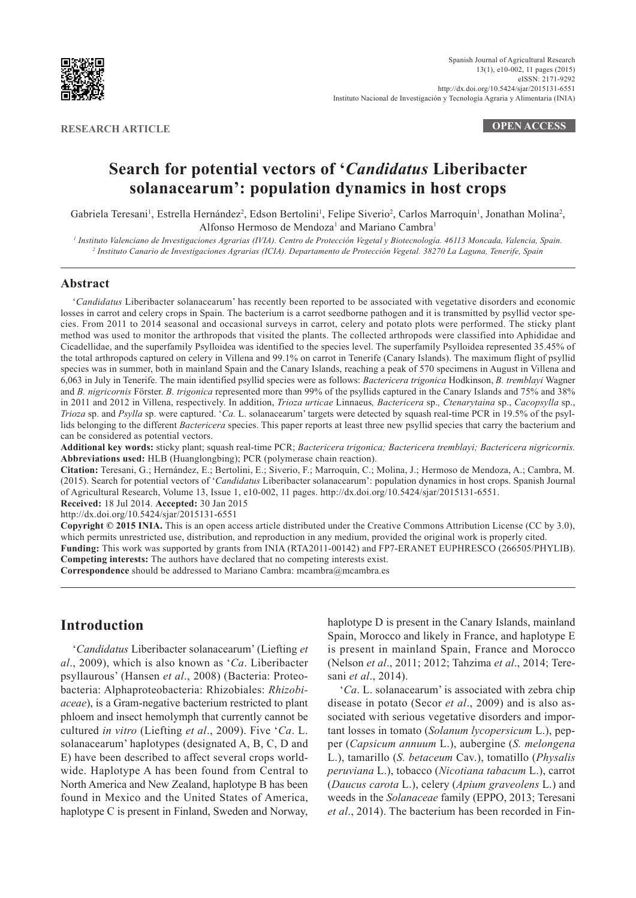

**RESEARCH ARTICLE OPEN ACCESS**

# **Search for potential vectors of '***Candidatus* **Liberibacter solanacearum': population dynamics in host crops**

Gabriela Teresani<sup>1</sup>, Estrella Hernández<sup>2</sup>, Edson Bertolini<sup>1</sup>, Felipe Siverio<sup>2</sup>, Carlos Marroquín<sup>1</sup>, Jonathan Molina<sup>2</sup>, Alfonso Hermoso de Mendoza<sup>1</sup> and Mariano Cambra<sup>1</sup>

*1 Instituto Valenciano de Investigaciones Agrarias (IVIA). Centro de Protección Vegetal y Biotecnología. 46113 Moncada, Valencia, Spain. 2 Instituto Canario de Investigaciones Agrarias (ICIA). Departamento de Protección Vegetal. 38270 La Laguna, Tenerife, Spain*

### **Abstract**

'*Candidatus* Liberibacter solanacearum' has recently been reported to be associated with vegetative disorders and economic losses in carrot and celery crops in Spain. The bacterium is a carrot seedborne pathogen and it is transmitted by psyllid vector species. From 2011 to 2014 seasonal and occasional surveys in carrot, celery and potato plots were performed. The sticky plant method was used to monitor the arthropods that visited the plants. The collected arthropods were classified into Aphididae and Cicadellidae, and the superfamily Psylloidea was identified to the species level. The superfamily Psylloidea represented 35.45% of the total arthropods captured on celery in Villena and 99.1% on carrot in Tenerife (Canary Islands). The maximum flight of psyllid species was in summer, both in mainland Spain and the Canary Islands, reaching a peak of 570 specimens in August in Villena and 6,063 in July in Tenerife. The main identified psyllid species were as follows: *Bactericera trigonica* Hodkinson, *B. tremblayi* Wagner and *B. nigricornis* Förster. *B. trigonica* represented more than 99% of the psyllids captured in the Canary Islands and 75% and 38% in 2011 and 2012 in Villena, respectively. In addition, *Trioza urticae* Linnaeus*, Bactericera* sp.*, Ctenarytaina* sp., *Cacopsylla* sp., *Trioza* sp. and *Psylla* sp. were captured. '*Ca.* L. solanacearum' targets were detected by squash real-time PCR in 19.5% of the psyllids belonging to the different *Bactericera* species. This paper reports at least three new psyllid species that carry the bacterium and can be considered as potential vectors.

**Additional key words:** sticky plant; squash real-time PCR; *Bactericera trigonica; Bactericera tremblayi; Bactericera nigricornis.* **Abbreviations used:** HLB (Huanglongbing); PCR (polymerase chain reaction).

**Citation:** Teresani, G.; Hernández, E.; Bertolini, E.; Siverio, F.; Marroquín, C.; Molina, J.; Hermoso de Mendoza, A.; Cambra, M. (2015). Search for potential vectors of '*Candidatus* Liberibacter solanacearum': population dynamics in host crops. Spanish Journal of Agricultural Research, Volume 13, Issue 1, e10-002, 11 pages. <http://dx.doi.org/10.5424/sjar/2015131-6551>.

**Received:** 18 Jul 2014. **Accepted:** 30 Jan 2015

<http://dx.doi.org/10.5424/sjar/2015131-6551>

**Copyright © 2015 INIA.** This is an open access article distributed under the Creative Commons Attribution License (CC by 3.0), which permits unrestricted use, distribution, and reproduction in any medium, provided the original work is properly cited. **Funding:** This work was supported by grants from INIA (RTA2011-00142) and FP7-ERANET EUPHRESCO (266505/PHYLIB). **Competing interests:** The authors have declared that no competing interests exist.

**Correspondence** should be addressed to Mariano Cambra: mcambra[@mcambra.es](mailto:mcambra%40mcambra.es?subject=)

# **Introduction**

'*Candidatus* Liberibacter solanacearum' (Liefting *et al*., 2009), which is also known as '*Ca*. Liberibacter psyllaurous' (Hansen *et al*., 2008) (Bacteria: Proteobacteria: Alphaproteobacteria: Rhizobiales: *Rhizobiaceae*), is a Gram-negative bacterium restricted to plant phloem and insect hemolymph that currently cannot be cultured *in vitro* (Liefting *et al*., 2009). Five '*Ca*. L. solanacearum' haplotypes (designated A, B, C, D and E) have been described to affect several crops worldwide. Haplotype A has been found from Central to North America and New Zealand, haplotype B has been found in Mexico and the United States of America, haplotype C is present in Finland, Sweden and Norway,

haplotype D is present in the Canary Islands, mainland Spain, Morocco and likely in France, and haplotype E is present in mainland Spain, France and Morocco (Nelson *et al*., 2011; 2012; Tahzima *et al*., 2014; Teresani *et al*., 2014).

'*Ca*. L. solanacearum' is associated with zebra chip disease in potato (Secor *et al*., 2009) and is also associated with serious vegetative disorders and important losses in tomato (*Solanum lycopersicum* L.), pepper (*Capsicum annuum* L.), aubergine (*S. melongena*  L.), tamarillo (*S. betaceum* Cav.), tomatillo (*Physalis peruviana* L.), tobacco (*Nicotiana tabacum* L.), carrot (*Daucus carota* L.), celery (*Apium graveolens* L.) and weeds in the *Solanaceae* family (EPPO, 2013; Teresani *et al*., 2014). The bacterium has been recorded in Fin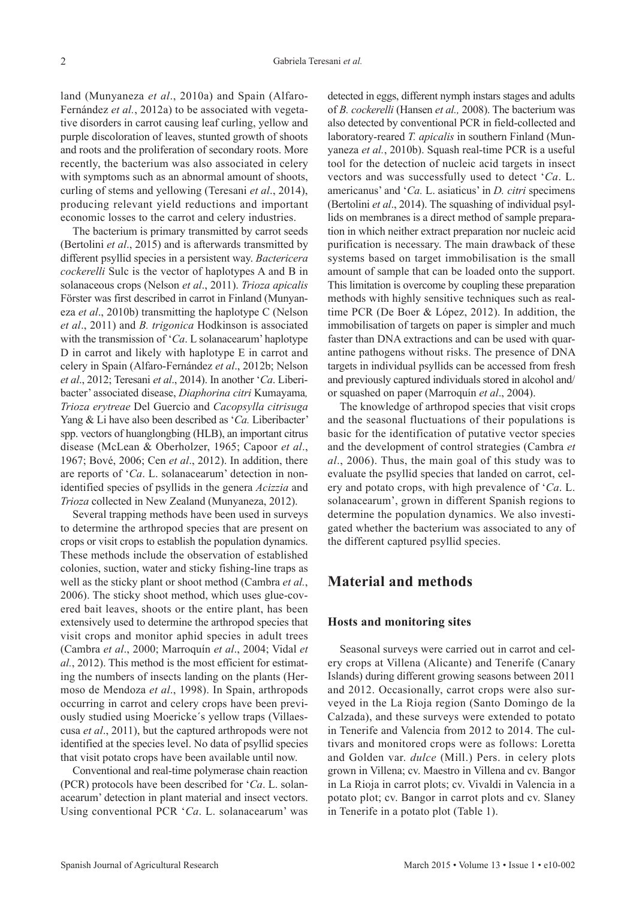land (Munyaneza *et al*., 2010a) and Spain (Alfaro-Fernández *et al.*, 2012a) to be associated with vegetative disorders in carrot causing leaf curling, yellow and purple discoloration of leaves, stunted growth of shoots and roots and the proliferation of secondary roots. More recently, the bacterium was also associated in celery with symptoms such as an abnormal amount of shoots, curling of stems and yellowing (Teresani *et al*., 2014), producing relevant yield reductions and important economic losses to the carrot and celery industries.

The bacterium is primary transmitted by carrot seeds (Bertolini *et al*., 2015) and is afterwards transmitted by different psyllid species in a persistent way. *Bactericera cockerelli* Sulc is the vector of haplotypes A and B in solanaceous crops (Nelson *et al*., 2011). *Trioza apicalis*  Förster was first described in carrot in Finland (Munyaneza *et al*., 2010b) transmitting the haplotype C (Nelson *et al*., 2011) and *B. trigonica* Hodkinson is associated with the transmission of '*Ca*. L solanacearum' haplotype D in carrot and likely with haplotype E in carrot and celery in Spain (Alfaro-Fernández *et al*., 2012b; Nelson *et al*., 2012; Teresani *et al*., 2014). In another '*Ca*. Liberibacter' associated disease, *Diaphorina citri* Kumayama*, Trioza erytreae* Del Guercio and *Cacopsylla citrisuga* Yang & Li have also been described as '*Ca.* Liberibacter' spp. vectors of huanglongbing (HLB), an important citrus disease (McLean & Oberholzer, 1965; Capoor *et al*., 1967; Bové, 2006; Cen *et al*., 2012). In addition, there are reports of '*Ca*. L. solanacearum' detection in nonidentified species of psyllids in the genera *Acizzia* and *Trioza* collected in New Zealand (Munyaneza, 2012).

Several trapping methods have been used in surveys to determine the arthropod species that are present on crops or visit crops to establish the population dynamics. These methods include the observation of established colonies, suction, water and sticky fishing-line traps as well as the sticky plant or shoot method (Cambra *et al.*, 2006). The sticky shoot method, which uses glue-covered bait leaves, shoots or the entire plant, has been extensively used to determine the arthropod species that visit crops and monitor aphid species in adult trees (Cambra *et al*., 2000; Marroquín *et al*., 2004; Vidal *et al.*, 2012). This method is the most efficient for estimating the numbers of insects landing on the plants (Hermoso de Mendoza *et al*., 1998). In Spain, arthropods occurring in carrot and celery crops have been previously studied using Moericke´s yellow traps (Villaescusa *et al*., 2011), but the captured arthropods were not identified at the species level. No data of psyllid species that visit potato crops have been available until now.

Conventional and real-time polymerase chain reaction (PCR) protocols have been described for '*Ca*. L. solanacearum' detection in plant material and insect vectors. Using conventional PCR '*Ca*. L. solanacearum' was

detected in eggs, different nymph instars stages and adults of *B. cockerelli* (Hansen *et al.,* 2008). The bacterium was also detected by conventional PCR in field-collected and laboratory-reared *T. apicalis* in southern Finland (Munyaneza *et al.*, 2010b). Squash real-time PCR is a useful tool for the detection of nucleic acid targets in insect vectors and was successfully used to detect '*Ca*. L. americanus' and '*Ca.* L. asiaticus' in *D. citri* specimens (Bertolini *et al*., 2014). The squashing of individual psyllids on membranes is a direct method of sample preparation in which neither extract preparation nor nucleic acid purification is necessary. The main drawback of these systems based on target immobilisation is the small amount of sample that can be loaded onto the support. This limitation is overcome by coupling these preparation methods with highly sensitive techniques such as realtime PCR (De Boer & López, 2012). In addition, the immobilisation of targets on paper is simpler and much faster than DNA extractions and can be used with quarantine pathogens without risks. The presence of DNA targets in individual psyllids can be accessed from fresh and previously captured individuals stored in alcohol and/ or squashed on paper (Marroquín *et al*., 2004).

The knowledge of arthropod species that visit crops and the seasonal fluctuations of their populations is basic for the identification of putative vector species and the development of control strategies (Cambra *et al*., 2006). Thus, the main goal of this study was to evaluate the psyllid species that landed on carrot, celery and potato crops, with high prevalence of '*Ca*. L. solanacearum', grown in different Spanish regions to determine the population dynamics. We also investigated whether the bacterium was associated to any of the different captured psyllid species.

## **Material and methods**

### **Hosts and monitoring sites**

Seasonal surveys were carried out in carrot and celery crops at Villena (Alicante) and Tenerife (Canary Islands) during different growing seasons between 2011 and 2012. Occasionally, carrot crops were also surveyed in the La Rioja region (Santo Domingo de la Calzada), and these surveys were extended to potato in Tenerife and Valencia from 2012 to 2014. The cultivars and monitored crops were as follows: Loretta and Golden var. *dulce* (Mill.) Pers. in celery plots grown in Villena; cv. Maestro in Villena and cv. Bangor in La Rioja in carrot plots; cv. Vivaldi in Valencia in a potato plot; cv. Bangor in carrot plots and cv. Slaney in Tenerife in a potato plot (Table 1).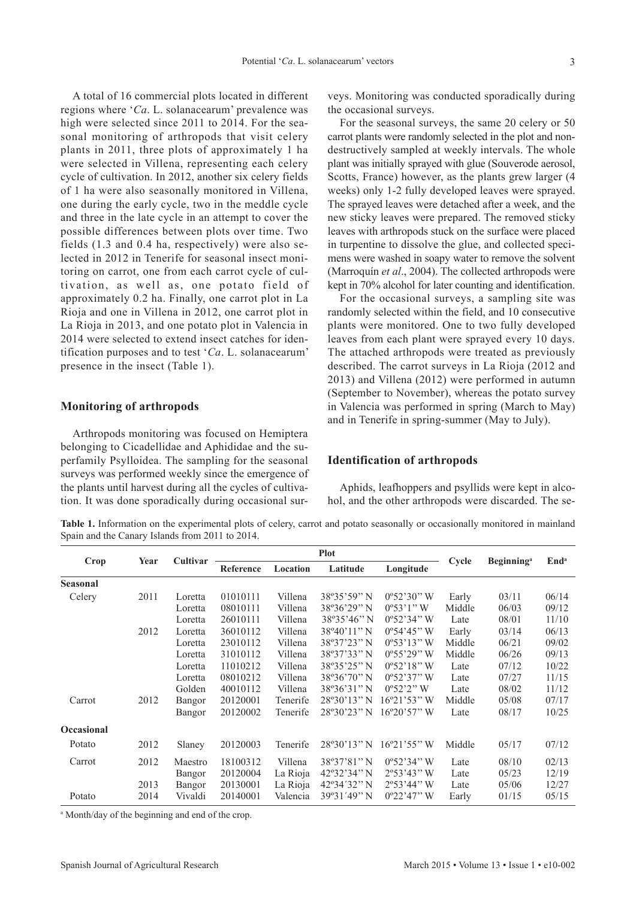A total of 16 commercial plots located in different regions where '*Ca*. L. solanacearum' prevalence was high were selected since 2011 to 2014. For the seasonal monitoring of arthropods that visit celery plants in 2011, three plots of approximately 1 ha were selected in Villena, representing each celery cycle of cultivation. In 2012, another six celery fields of 1 ha were also seasonally monitored in Villena, one during the early cycle, two in the meddle cycle and three in the late cycle in an attempt to cover the possible differences between plots over time. Two fields (1.3 and 0.4 ha, respectively) were also selected in 2012 in Tenerife for seasonal insect monitoring on carrot, one from each carrot cycle of cultivation, as well as, one potato field of approximately 0.2 ha. Finally, one carrot plot in La Rioja and one in Villena in 2012, one carrot plot in La Rioja in 2013, and one potato plot in Valencia in 2014 were selected to extend insect catches for identification purposes and to test '*Ca*. L. solanacearum' presence in the insect (Table 1).

#### **Monitoring of arthropods**

Arthropods monitoring was focused on Hemiptera belonging to Cicadellidae and Aphididae and the superfamily Psylloidea. The sampling for the seasonal surveys was performed weekly since the emergence of the plants until harvest during all the cycles of cultivation. It was done sporadically during occasional surveys. Monitoring was conducted sporadically during the occasional surveys.

For the seasonal surveys, the same 20 celery or 50 carrot plants were randomly selected in the plot and nondestructively sampled at weekly intervals. The whole plant was initially sprayed with glue (Souverode aerosol, Scotts, France) however, as the plants grew larger (4 weeks) only 1-2 fully developed leaves were sprayed. The sprayed leaves were detached after a week, and the new sticky leaves were prepared. The removed sticky leaves with arthropods stuck on the surface were placed in turpentine to dissolve the glue, and collected specimens were washed in soapy water to remove the solvent (Marroquín *et al*., 2004). The collected arthropods were kept in 70% alcohol for later counting and identification.

For the occasional surveys, a sampling site was randomly selected within the field, and 10 consecutive plants were monitored. One to two fully developed leaves from each plant were sprayed every 10 days. The attached arthropods were treated as previously described. The carrot surveys in La Rioja (2012 and 2013) and Villena (2012) were performed in autumn (September to November), whereas the potato survey in Valencia was performed in spring (March to May) and in Tenerife in spring-summer (May to July).

#### **Identification of arthropods**

Aphids, leafhoppers and psyllids were kept in alcohol, and the other arthropods were discarded. The se-

Table 1. Information on the experimental plots of celery, carrot and potato seasonally or occasionally monitored in mainland Spain and the Canary Islands from 2011 to 2014.

|                   |      | Cultivar | <b>Plot</b> |          |                                            |                                          |        |                               |                             |
|-------------------|------|----------|-------------|----------|--------------------------------------------|------------------------------------------|--------|-------------------------------|-----------------------------|
| Crop              | Year |          | Reference   | Location | Latitude                                   | Longitude                                | Cycle  | <b>Beginning</b> <sup>a</sup> | $\mathbf{End}^{\mathbf{a}}$ |
| <b>Seasonal</b>   |      |          |             |          |                                            |                                          |        |                               |                             |
| Celery            | 2011 | Loretta  | 01010111    | Villena  | 38°35'59" N                                | $0°52'30''$ W                            | Early  | 03/11                         | 06/14                       |
|                   |      | Loretta  | 08010111    | Villena  | 38°36'29'' N                               | 0°53'1"W                                 | Middle | 06/03                         | 09/12                       |
|                   |      | Loretta  | 26010111    | Villena  | 38°35'46" N                                | $0°52'34"$ W                             | Late   | 08/01                         | 11/10                       |
|                   | 2012 | Loretta  | 36010112    | Villena  | 38°40'11" N                                | $0°54'45"$ W                             | Early  | 03/14                         | 06/13                       |
|                   |      | Loretta  | 23010112    | Villena  | 38°37'23" N                                | $0°53'13"$ W                             | Middle | 06/21                         | 09/02                       |
|                   |      | Loretta  | 31010112    | Villena  | 38°37'33'' N                               | $0°55'29"$ W                             | Middle | 06/26                         | 09/13                       |
|                   |      | Loretta  | 11010212    | Villena  | 38°35'25" N                                | $0°52'18"$ W                             | Late   | 07/12                         | 10/22                       |
|                   |      | Loretta  | 08010212    | Villena  | 38°36'70" N                                | $0°52'37"$ W                             | Late   | 07/27                         | 11/15                       |
|                   |      | Golden   | 40010112    | Villena  | 38°36'31" N                                | $0^{\circ}52^{\prime}2^{\prime\prime}$ W | Late   | 08/02                         | 11/12                       |
| Carrot            | 2012 | Bangor   | 20120001    | Tenerife | $28°30'13''$ N                             | $16^{\circ}21'53''$ W                    | Middle | 05/08                         | 07/17                       |
|                   |      | Bangor   | 20120002    | Tenerife | 28°30'23" N                                | $16^{\circ}20'57''$ W                    | Late   | 08/17                         | 10/25                       |
| <b>Occasional</b> |      |          |             |          |                                            |                                          |        |                               |                             |
| Potato            | 2012 | Slaney   | 20120003    | Tenerife | $28°30'13''$ N                             | $16^{\circ}21'55''$ W                    | Middle | 05/17                         | 07/12                       |
| Carrot            | 2012 | Maestro  | 18100312    | Villena  | 38°37'81" N                                | $0°52'34''$ W                            | Late   | 08/10                         | 02/13                       |
|                   |      | Bangor   | 20120004    | La Rioja | $42^{\circ}32^{\prime}34^{\prime\prime}$ N | 2°53'43"W                                | Late   | 05/23                         | 12/19                       |
|                   | 2013 | Bangor   | 20130001    | La Rioja | $42^{\circ}34'32"$ N                       | $2^{\circ}53'44''$ W                     | Late   | 05/06                         | 12/27                       |
| Potato            | 2014 | Vivaldi  | 20140001    | Valencia | 39°31′49'' N                               | $0°22'47"$ W                             | Early  | 01/15                         | 05/15                       |

a Month/day of the beginning and end of the crop.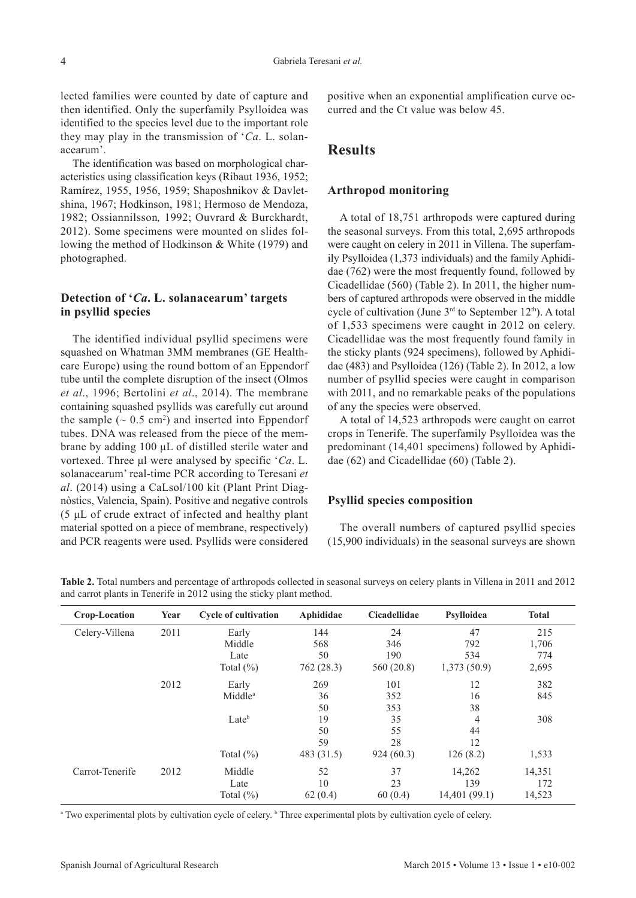lected families were counted by date of capture and then identified. Only the superfamily Psylloidea was identified to the species level due to the important role they may play in the transmission of '*Ca*. L. solanacearum'.

The identification was based on morphological characteristics using classification keys (Ribaut 1936, 1952; Ramírez, 1955, 1956, 1959; Shaposhnikov & Davletshina, 1967; Hodkinson, 1981; Hermoso de Mendoza, 1982; Ossiannilsson*,* 1992; Ouvrard & Burckhardt, 2012). Some specimens were mounted on slides following the method of Hodkinson & White (1979) and photographed.

### **Detection of '***Ca***. L. solanacearum' targets in psyllid species**

The identified individual psyllid specimens were squashed on Whatman 3MM membranes (GE Healthcare Europe) using the round bottom of an Eppendorf tube until the complete disruption of the insect (Olmos *et al*., 1996; Bertolini *et al*., 2014). The membrane containing squashed psyllids was carefully cut around the sample  $(\sim 0.5 \text{ cm}^2)$  and inserted into Eppendorf tubes. DNA was released from the piece of the membrane by adding 100 μL of distilled sterile water and vortexed. Three μl were analysed by specific '*Ca*. L. solanacearum' real-time PCR according to Teresani *et al*. (2014) using a CaLsol/100 kit (Plant Print Diagnòstics, Valencia, Spain). Positive and negative controls (5 μL of crude extract of infected and healthy plant material spotted on a piece of membrane, respectively) and PCR reagents were used. Psyllids were considered

positive when an exponential amplification curve occurred and the Ct value was below 45.

### **Results**

#### **Arthropod monitoring**

A total of 18,751 arthropods were captured during the seasonal surveys. From this total, 2,695 arthropods were caught on celery in 2011 in Villena. The superfamily Psylloidea (1,373 individuals) and the family Aphididae (762) were the most frequently found, followed by Cicadellidae (560) (Table 2). In 2011, the higher numbers of captured arthropods were observed in the middle cycle of cultivation (June  $3<sup>rd</sup>$  to September 12<sup>th</sup>). A total of 1,533 specimens were caught in 2012 on celery. Cicadellidae was the most frequently found family in the sticky plants (924 specimens), followed by Aphididae (483) and Psylloidea (126) (Table 2). In 2012, a low number of psyllid species were caught in comparison with 2011, and no remarkable peaks of the populations of any the species were observed.

A total of 14,523 arthropods were caught on carrot crops in Tenerife. The superfamily Psylloidea was the predominant (14,401 specimens) followed by Aphididae (62) and Cicadellidae (60) (Table 2).

#### **Psyllid species composition**

The overall numbers of captured psyllid species (15,900 individuals) in the seasonal surveys are shown

| Crop-Location   | Year | <b>Cycle of cultivation</b> | Aphididae  | Cicadellidae | Psylloidea    | <b>Total</b> |
|-----------------|------|-----------------------------|------------|--------------|---------------|--------------|
| Celery-Villena  | 2011 | Early                       | 144        | 24           | 47            | 215          |
|                 |      | Middle                      | 568        | 346          | 792           | 1,706        |
|                 |      | Late                        | 50         | 190          | 534           | 774          |
|                 |      | Total $(\% )$               | 762 (28.3) | 560(20.8)    | 1,373(50.9)   | 2,695        |
|                 | 2012 | Early                       | 269        | 101          | 12            | 382          |
|                 |      | Middle <sup>a</sup>         | 36         | 352          | 16            | 845          |
|                 |      |                             | 50         | 353          | 38            |              |
|                 |      | Lateb                       | 19         | 35           | 4             | 308          |
|                 |      |                             | 50         | 55           | 44            |              |
|                 |      |                             | 59         | 28           | 12            |              |
|                 |      | Total $(\% )$               | 483 (31.5) | 924(60.3)    | 126(8.2)      | 1,533        |
| Carrot-Tenerife | 2012 | Middle                      | 52         | 37           | 14,262        | 14,351       |
|                 |      | Late                        | 10         | 23           | 139           | 172          |
|                 |      | Total $(\% )$               | 62(0.4)    | 60(0.4)      | 14,401 (99.1) | 14,523       |

**Table 2.** Total numbers and percentage of arthropods collected in seasonal surveys on celery plants in Villena in 2011 and 2012 and carrot plants in Tenerife in 2012 using the sticky plant method.

<sup>a</sup> Two experimental plots by cultivation cycle of celery. <sup>b</sup> Three experimental plots by cultivation cycle of celery.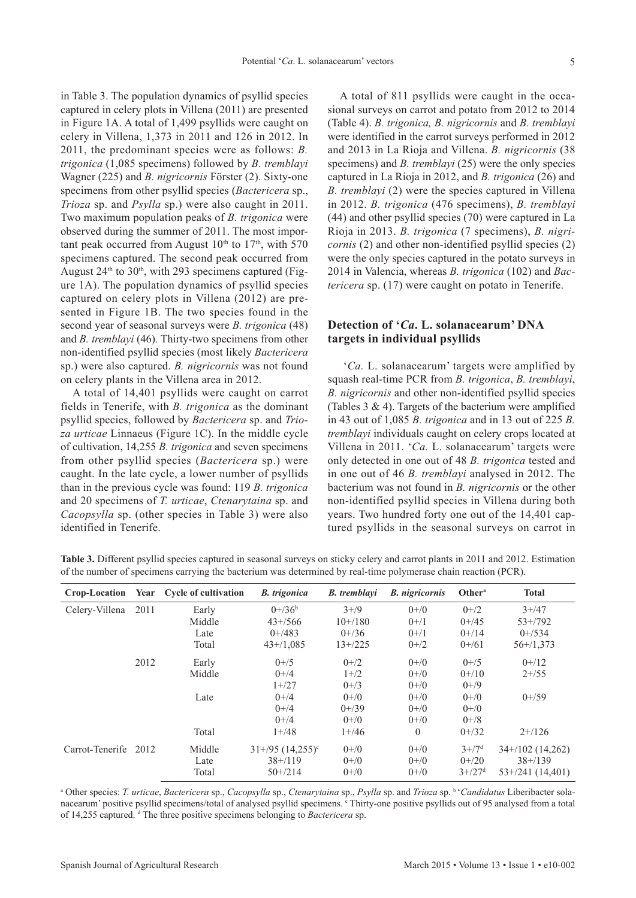in Table 3. The population dynamics of psyllid species captured in celery plots in Villena (2011) are presented in Figure 1A. A total of 1,499 psyllids were caught on celery in Villena, 1,373 in 2011 and 126 in 2012. In 2011, the predominant species were as follows: *B. trigonica* (1,085 specimens) followed by *B. tremblayi*  Wagner (225) and *B. nigricornis* Förster (2). Sixty-one specimens from other psyllid species (*Bactericera* sp., *Trioza* sp. and *Psylla* sp.) were also caught in 2011. Two maximum population peaks of *B. trigonica* were observed during the summer of 2011. The most important peak occurred from August  $10<sup>th</sup>$  to  $17<sup>th</sup>$ , with 570 specimens captured. The second peak occurred from August  $24<sup>th</sup>$  to  $30<sup>th</sup>$ , with 293 specimens captured (Figure 1A). The population dynamics of psyllid species captured on celery plots in Villena (2012) are presented in Figure 1B. The two species found in the second year of seasonal surveys were *B. trigonica* (48) and *B. tremblayi* (46)*.* Thirty-two specimens from other non-identified psyllid species (most likely *Bactericera* sp.) were also captured. *B. nigricornis* was not found on celery plants in the Villena area in 2012.

A total of 14,401 psyllids were caught on carrot fields in Tenerife, with *B. trigonica* as the dominant psyllid species, followed by *Bactericera* sp. and *Trioza urticae* Linnaeus (Figure 1C). In the middle cycle of cultivation, 14,255 *B. trigonica* and seven specimens from other psyllid species (*Bactericera* sp.) were caught. In the late cycle, a lower number of psyllids than in the previous cycle was found: 119 *B. trigonica* and 20 specimens of *T. urticae*, *Ctenarytaina* sp. and *Cacopsylla* sp. (other species in Table 3) were also identified in Tenerife.

A total of 811 psyllids were caught in the occasional surveys on carrot and potato from 2012 to 2014 (Table 4). *B. trigonica, B. nigricornis* and *B. tremblayi*  were identified in the carrot surveys performed in 2012 and 2013 in La Rioja and Villena. *B. nigricornis* (38 specimens) and *B. tremblayi* (25) were the only species captured in La Rioja in 2012, and *B. trigonica* (26) and *B. tremblayi* (2) were the species captured in Villena in 2012. *B. trigonica* (476 specimens), *B. tremblayi*  (44) and other psyllid species (70) were captured in La Rioja in 2013. *B. trigonica* (7 specimens), *B. nigricornis* (2) and other non-identified psyllid species (2) were the only species captured in the potato surveys in 2014 in Valencia, whereas *B. trigonica* (102) and *Bactericera* sp. (17) were caught on potato in Tenerife.

### **Detection of '***Ca***. L. solanacearum' DNA targets in individual psyllids**

 '*Ca.* L. solanacearum' targets were amplified by squash real-time PCR from *B. trigonica*, *B. tremblayi*, *B. nigricornis* and other non-identified psyllid species (Tables  $3 \& 4$ ). Targets of the bacterium were amplified in 43 out of 1,085 *B. trigonica* and in 13 out of 225 *B. tremblayi* individuals caught on celery crops located at Villena in 2011. '*Ca.* L. solanacearum' targets were only detected in one out of 48 *B. trigonica* tested and in one out of 46 *B. tremblayi* analysed in 2012. The bacterium was not found in *B. nigricornis* or the other non-identified psyllid species in Villena during both years. Two hundred forty one out of the 14,401 captured psyllids in the seasonal surveys on carrot in

| Crop-Location Year |      | <b>Cycle of cultivation</b> | <b>B.</b> trigonica         | <b>B.</b> tremblayi | <b>B.</b> nigricornis | Other <sup>a</sup>     | <b>Total</b>       |
|--------------------|------|-----------------------------|-----------------------------|---------------------|-----------------------|------------------------|--------------------|
| Celery-Villena     | 2011 | Early                       | $(1 + / 36^b)$              | $3+/9$              | $0+/-0$               | $0^{+/2}$              | $3+/47$            |
|                    |      | Middle                      | $43 + 566$                  | $10+/180$           | $0+1$                 | $0+/45$                | $53+/792$          |
|                    |      | Late                        | $0+$ /483                   | $0+$ /36            | $0+1$                 | $0+/14$                | $0+ / 534$         |
|                    |      | Total                       | $43 + / 1,085$              | $13 + 225$          | $0+/2$                | $0 + 61$               | $56+/1,373$        |
|                    | 2012 | Early                       | $0^{+/5}$                   | $0+/2$              | $0^{+/0}$             | $0^{+/5}$              | $0+12$             |
|                    |      | Middle                      | $0+/4$                      | $1 + 2$             | $0^{+/0}$             | $0+10$                 | $2 + 55$           |
|                    |      |                             | $1 + 27$                    | $0 + 3$             | $0+/-0$               | $()+/9$                |                    |
|                    |      | Late                        | $0+/4$                      | $0^{+/0}$           | $0^{+/0}$             | $0^{+/0}$              | $0+ / 59$          |
|                    |      |                             | $0+/4$                      | $0+$ /39            | $0^{+/0}$             | $0^{+/0}$              |                    |
|                    |      |                             | $0+/4$                      | $0+$ /0             | $0^{+/0}$             | $0 + 8$                |                    |
|                    |      | Total                       | $1 + 48$                    | $1 + 46$            | $\theta$              | $0+ / 32$              | $2+126$            |
| Carrot-Tenerife    | 2012 | Middle                      | $31+/95$ $(14,255)^{\circ}$ | $0^{+/0}$           | $0^{+/0}$             | $3+/7^d$               | $34+102(14,262)$   |
|                    |      | Late                        | $38+/119$                   | $0^{+/0}$           | $0^{+/0}$             | $0+/20$                | $38 + / 139$       |
|                    |      | Total                       | $50+/214$                   | $0^{+/0}$           | $0^{+/0}$             | $3 + /27$ <sup>d</sup> | $53+/241$ (14,401) |

Table 3. Different psyllid species captured in seasonal surveys on sticky celery and carrot plants in 2011 and 2012. Estimation of the number of specimens carrying the bacterium was determined by real-time polymerase chain reaction (PCR).

a Other species: *T. urticae*, *Bactericera* sp., *Cacopsylla* sp., *Ctenarytaina* sp., *Psylla* sp. and *Trioza* sp. b '*Candidatus* Liberibacter solanacearum' positive psyllid specimens/total of analysed psyllid specimens. Chirty-one positive psyllids out of 95 analysed from a total of 14,255 captured. d The three positive specimens belonging to *Bactericera* sp.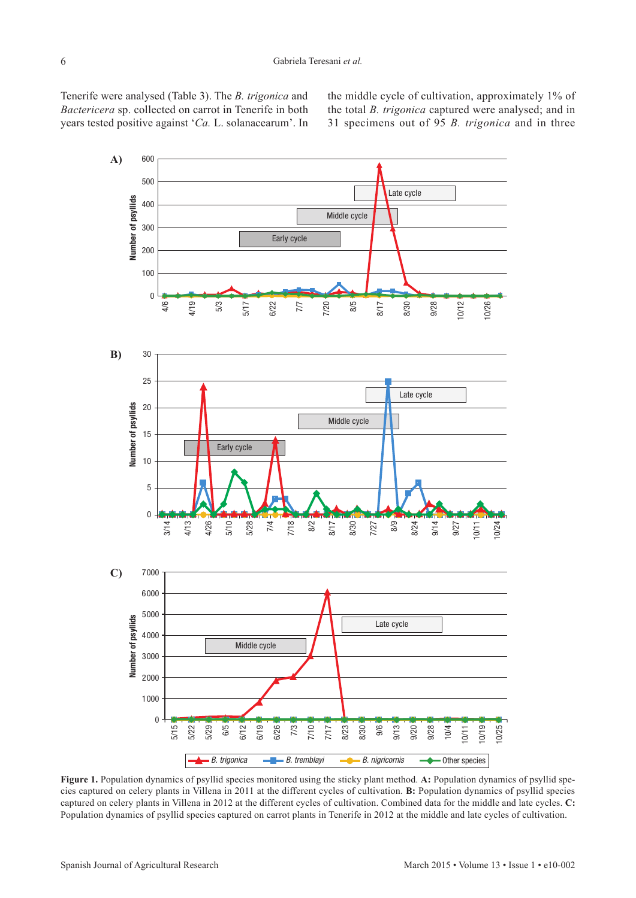Tenerife were analysed (Table 3). The *B. trigonica* and *Bactericera* sp. collected on carrot in Tenerife in both years tested positive against '*Ca.* L. solanacearum'. In the middle cycle of cultivation, approximately 1% of the total *B. trigonica* captured were analysed; and in 31 specimens out of 95 *B. trigonica* and in three



**Figure 1.** Population dynamics of psyllid species monitored using the sticky plant method. **A:** Population dynamics of psyllid species captured on celery plants in Villena in 2011 at the different cycles of cultivation. **B:** Population dynamics of psyllid species captured on celery plants in Villena in 2012 at the different cycles of cultivation. Combined data for the middle and late cycles. **C:**  Population dynamics of psyllid species captured on carrot plants in Tenerife in 2012 at the middle and late cycles of cultivation.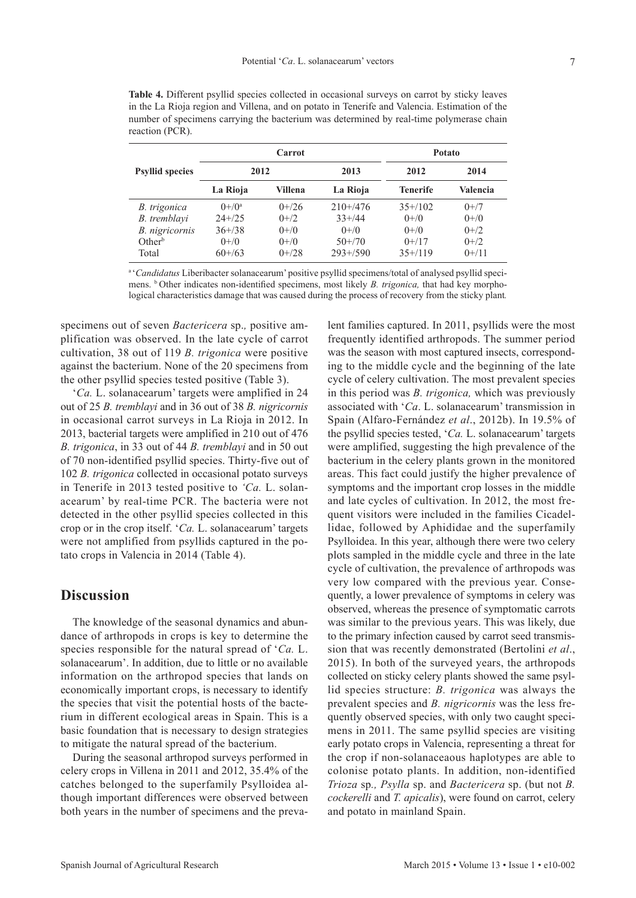|                        |            | Carrot         | <b>Potato</b> |                 |                  |  |
|------------------------|------------|----------------|---------------|-----------------|------------------|--|
| <b>Psyllid species</b> | 2012       |                | 2013          | 2012            | 2014<br>Valencia |  |
|                        | La Rioja   | <b>Villena</b> | La Rioja      | <b>Tenerife</b> |                  |  |
| <i>B.</i> trigonica    | $(1+)/0^a$ | $0+ / 26$      | $210+1476$    | $35+/102$       | $0+/7$           |  |
| B. tremblayi           | $24 + 25$  | $0+2$          | $33+/44$      | $0+$ /0         | $0+/-0$          |  |
| B. nigricornis         | $36 + 38$  | $0^{+/0}$      | $0+$ /0       | $0+/-0$         | $0+2$            |  |
| $Other^b$              | $0^{+/0}$  | $0^{+/0}$      | $50+/70$      | $0+17$          | $0+2$            |  |
| Total                  | $60+/63$   | $0+ / 28$      | $293+/590$    | $35+/119$       | $0+/11$          |  |

**Table 4.** Different psyllid species collected in occasional surveys on carrot by sticky leaves in the La Rioja region and Villena, and on potato in Tenerife and Valencia. Estimation of the number of specimens carrying the bacterium was determined by real-time polymerase chain reaction (PCR).

<sup>a</sup> '*Candidatus* Liberibacter solanacearum' positive psyllid specimens/total of analysed psyllid specimens. b Other indicates non-identified specimens, most likely *B. trigonica,* that had key morphological characteristics damage that was caused during the process of recovery from the sticky plant*.*

specimens out of seven *Bactericera* sp.*,* positive amplification was observed. In the late cycle of carrot cultivation, 38 out of 119 *B. trigonica* were positive against the bacterium. None of the 20 specimens from the other psyllid species tested positive (Table 3).

'*Ca.* L. solanacearum' targets were amplified in 24 out of 25 *B. tremblayi* and in 36 out of 38 *B. nigricornis*  in occasional carrot surveys in La Rioja in 2012. In 2013, bacterial targets were amplified in 210 out of 476 *B. trigonica*, in 33 out of 44 *B. tremblayi* and in 50 out of 70 non-identified psyllid species. Thirty-five out of 102 *B. trigonica* collected in occasional potato surveys in Tenerife in 2013 tested positive to *'Ca.* L. solanacearum' by real-time PCR. The bacteria were not detected in the other psyllid species collected in this crop or in the crop itself. '*Ca.* L. solanacearum' targets were not amplified from psyllids captured in the potato crops in Valencia in 2014 (Table 4).

## **Discussion**

The knowledge of the seasonal dynamics and abundance of arthropods in crops is key to determine the species responsible for the natural spread of '*Ca.* L. solanacearum'. In addition, due to little or no available information on the arthropod species that lands on economically important crops, is necessary to identify the species that visit the potential hosts of the bacterium in different ecological areas in Spain. This is a basic foundation that is necessary to design strategies to mitigate the natural spread of the bacterium.

During the seasonal arthropod surveys performed in celery crops in Villena in 2011 and 2012, 35.4% of the catches belonged to the superfamily Psylloidea although important differences were observed between both years in the number of specimens and the preva-

lent families captured. In 2011, psyllids were the most frequently identified arthropods. The summer period was the season with most captured insects, corresponding to the middle cycle and the beginning of the late cycle of celery cultivation. The most prevalent species in this period was *B. trigonica,* which was previously associated with '*Ca*. L. solanacearum' transmission in Spain (Alfaro-Fernández *et al*., 2012b). In 19.5% of the psyllid species tested, '*Ca.* L. solanacearum' targets were amplified, suggesting the high prevalence of the bacterium in the celery plants grown in the monitored areas. This fact could justify the higher prevalence of symptoms and the important crop losses in the middle and late cycles of cultivation. In 2012, the most frequent visitors were included in the families Cicadellidae, followed by Aphididae and the superfamily Psylloidea. In this year, although there were two celery plots sampled in the middle cycle and three in the late cycle of cultivation, the prevalence of arthropods was very low compared with the previous year. Consequently, a lower prevalence of symptoms in celery was observed, whereas the presence of symptomatic carrots was similar to the previous years. This was likely, due to the primary infection caused by carrot seed transmission that was recently demonstrated (Bertolini *et al*., 2015). In both of the surveyed years, the arthropods collected on sticky celery plants showed the same psyllid species structure: *B. trigonica* was always the prevalent species and *B. nigricornis* was the less frequently observed species, with only two caught specimens in 2011. The same psyllid species are visiting early potato crops in Valencia, representing a threat for the crop if non-solanaceaous haplotypes are able to colonise potato plants. In addition, non-identified *Trioza* sp*., Psylla* sp. and *Bactericera* sp. (but not *B. cockerelli* and *T. apicalis*), were found on carrot, celery and potato in mainland Spain.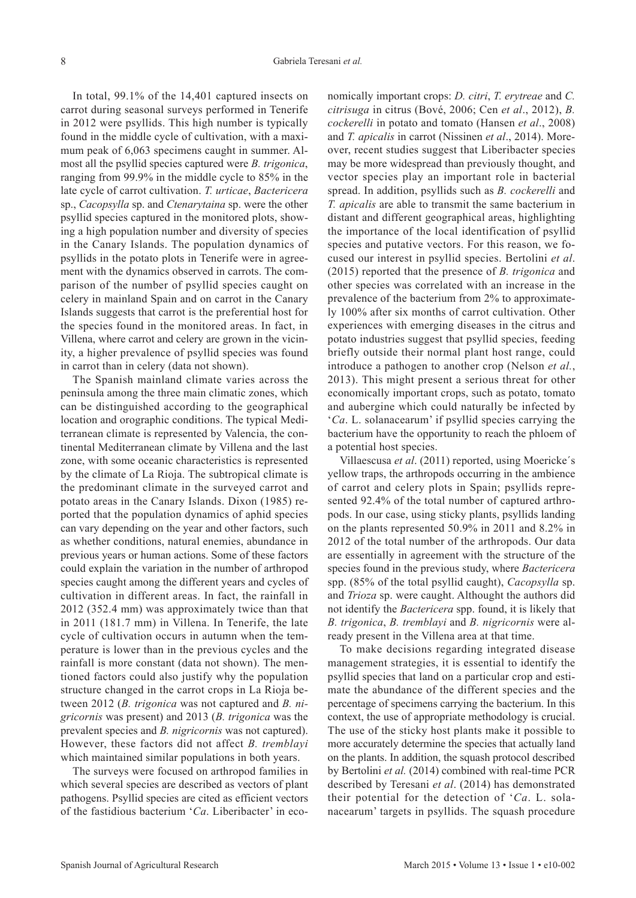In total, 99.1% of the 14,401 captured insects on carrot during seasonal surveys performed in Tenerife in 2012 were psyllids. This high number is typically found in the middle cycle of cultivation, with a maximum peak of 6,063 specimens caught in summer. Almost all the psyllid species captured were *B. trigonica*, ranging from 99.9% in the middle cycle to 85% in the late cycle of carrot cultivation. *T. urticae*, *Bactericera* sp., *Cacopsylla* sp. and *Ctenarytaina* sp. were the other psyllid species captured in the monitored plots, showing a high population number and diversity of species in the Canary Islands. The population dynamics of psyllids in the potato plots in Tenerife were in agreement with the dynamics observed in carrots. The comparison of the number of psyllid species caught on celery in mainland Spain and on carrot in the Canary Islands suggests that carrot is the preferential host for the species found in the monitored areas. In fact, in Villena, where carrot and celery are grown in the vicinity, a higher prevalence of psyllid species was found in carrot than in celery (data not shown).

The Spanish mainland climate varies across the peninsula among the three main climatic zones, which can be distinguished according to the geographical location and orographic conditions. The typical Mediterranean climate is represented by Valencia, the continental Mediterranean climate by Villena and the last zone, with some oceanic characteristics is represented by the climate of La Rioja. The subtropical climate is the predominant climate in the surveyed carrot and potato areas in the Canary Islands. Dixon (1985) reported that the population dynamics of aphid species can vary depending on the year and other factors, such as whether conditions, natural enemies, abundance in previous years or human actions. Some of these factors could explain the variation in the number of arthropod species caught among the different years and cycles of cultivation in different areas. In fact, the rainfall in 2012 (352.4 mm) was approximately twice than that in 2011 (181.7 mm) in Villena. In Tenerife, the late cycle of cultivation occurs in autumn when the temperature is lower than in the previous cycles and the rainfall is more constant (data not shown). The mentioned factors could also justify why the population structure changed in the carrot crops in La Rioja between 2012 (*B. trigonica* was not captured and *B. nigricornis* was present) and 2013 (*B. trigonica* was the prevalent species and *B. nigricornis* was not captured). However, these factors did not affect *B. tremblayi* which maintained similar populations in both years.

The surveys were focused on arthropod families in which several species are described as vectors of plant pathogens. Psyllid species are cited as efficient vectors of the fastidious bacterium '*Ca*. Liberibacter' in economically important crops: *D. citri*, *T. erytreae* and *C. citrisuga* in citrus (Bové, 2006; Cen *et al*., 2012), *B. cockerelli* in potato and tomato (Hansen *et al*., 2008) and *T. apicalis* in carrot (Nissinen *et al*., 2014). Moreover, recent studies suggest that Liberibacter species may be more widespread than previously thought, and vector species play an important role in bacterial spread. In addition, psyllids such as *B. cockerelli* and *T. apicalis* are able to transmit the same bacterium in distant and different geographical areas, highlighting the importance of the local identification of psyllid species and putative vectors. For this reason, we focused our interest in psyllid species. Bertolini *et al*. (2015) reported that the presence of *B. trigonica* and other species was correlated with an increase in the prevalence of the bacterium from 2% to approximately 100% after six months of carrot cultivation. Other experiences with emerging diseases in the citrus and potato industries suggest that psyllid species, feeding briefly outside their normal plant host range, could introduce a pathogen to another crop (Nelson *et al.*, 2013). This might present a serious threat for other economically important crops, such as potato, tomato and aubergine which could naturally be infected by '*Ca*. L. solanacearum' if psyllid species carrying the bacterium have the opportunity to reach the phloem of a potential host species.

Villaescusa *et al*. (2011) reported, using Moericke´s yellow traps, the arthropods occurring in the ambience of carrot and celery plots in Spain; psyllids represented 92.4% of the total number of captured arthropods. In our case, using sticky plants, psyllids landing on the plants represented 50.9% in 2011 and 8.2% in 2012 of the total number of the arthropods. Our data are essentially in agreement with the structure of the species found in the previous study, where *Bactericera* spp. (85% of the total psyllid caught), *Cacopsylla* sp. and *Trioza* sp. were caught. Althought the authors did not identify the *Bactericera* spp. found, it is likely that *B. trigonica*, *B. tremblayi* and *B. nigricornis* were already present in the Villena area at that time.

To make decisions regarding integrated disease management strategies, it is essential to identify the psyllid species that land on a particular crop and estimate the abundance of the different species and the percentage of specimens carrying the bacterium. In this context, the use of appropriate methodology is crucial. The use of the sticky host plants make it possible to more accurately determine the species that actually land on the plants. In addition, the squash protocol described by Bertolini *et al.* (2014) combined with real-time PCR described by Teresani *et al*. (2014) has demonstrated their potential for the detection of '*Ca*. L. solanacearum' targets in psyllids. The squash procedure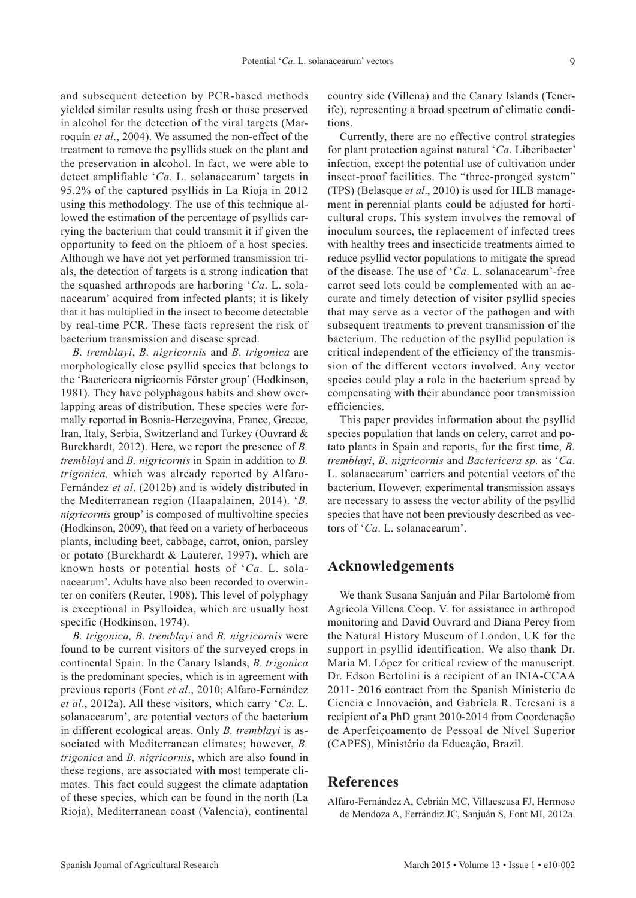and subsequent detection by PCR-based methods yielded similar results using fresh or those preserved in alcohol for the detection of the viral targets (Marroquín *et al*., 2004). We assumed the non-effect of the treatment to remove the psyllids stuck on the plant and the preservation in alcohol. In fact, we were able to detect amplifiable '*Ca*. L. solanacearum' targets in 95.2% of the captured psyllids in La Rioja in 2012 using this methodology. The use of this technique allowed the estimation of the percentage of psyllids carrying the bacterium that could transmit it if given the opportunity to feed on the phloem of a host species. Although we have not yet performed transmission trials, the detection of targets is a strong indication that the squashed arthropods are harboring '*Ca*. L. solanacearum' acquired from infected plants; it is likely that it has multiplied in the insect to become detectable by real-time PCR. These facts represent the risk of bacterium transmission and disease spread.

*B. tremblayi*, *B. nigricornis* and *B. trigonica* are morphologically close psyllid species that belongs to the 'Bactericera nigricornis Förster group' (Hodkinson, 1981). They have polyphagous habits and show overlapping areas of distribution. These species were formally reported in Bosnia-Herzegovina, France, Greece, Iran, Italy, Serbia, Switzerland and Turkey (Ouvrard & Burckhardt, 2012). Here, we report the presence of *B. tremblayi* and *B. nigricornis* in Spain in addition to *B. trigonica,* which was already reported by Alfaro-Fernández *et al*. (2012b) and is widely distributed in the Mediterranean region (Haapalainen, 2014). '*B. nigricornis* group' is composed of multivoltine species (Hodkinson, 2009), that feed on a variety of herbaceous plants, including beet, cabbage, carrot, onion, parsley or potato (Burckhardt & Lauterer, 1997), which are known hosts or potential hosts of '*Ca*. L. solanacearum'. Adults have also been recorded to overwinter on conifers (Reuter, 1908). This level of polyphagy is exceptional in Psylloidea, which are usually host specific (Hodkinson, 1974).

*B. trigonica, B. tremblayi* and *B. nigricornis* were found to be current visitors of the surveyed crops in continental Spain. In the Canary Islands, *B. trigonica* is the predominant species, which is in agreement with previous reports (Font *et al*., 2010; Alfaro-Fernández *et al*., 2012a). All these visitors, which carry '*Ca.* L. solanacearum', are potential vectors of the bacterium in different ecological areas. Only *B. tremblayi* is associated with Mediterranean climates; however, *B. trigonica* and *B. nigricornis*, which are also found in these regions, are associated with most temperate climates. This fact could suggest the climate adaptation of these species, which can be found in the north (La Rioja), Mediterranean coast (Valencia), continental

country side (Villena) and the Canary Islands (Tenerife), representing a broad spectrum of climatic conditions.

Currently, there are no effective control strategies for plant protection against natural '*Ca*. Liberibacter' infection, except the potential use of cultivation under insect-proof facilities. The "three-pronged system" (TPS) (Belasque *et al*., 2010) is used for HLB management in perennial plants could be adjusted for horticultural crops. This system involves the removal of inoculum sources, the replacement of infected trees with healthy trees and insecticide treatments aimed to reduce psyllid vector populations to mitigate the spread of the disease. The use of '*Ca*. L. solanacearum'-free carrot seed lots could be complemented with an accurate and timely detection of visitor psyllid species that may serve as a vector of the pathogen and with subsequent treatments to prevent transmission of the bacterium. The reduction of the psyllid population is critical independent of the efficiency of the transmission of the different vectors involved. Any vector species could play a role in the bacterium spread by compensating with their abundance poor transmission efficiencies.

This paper provides information about the psyllid species population that lands on celery, carrot and potato plants in Spain and reports, for the first time, *B. tremblayi*, *B. nigricornis* and *Bactericera sp.* as '*Ca*. L. solanacearum' carriers and potential vectors of the bacterium. However, experimental transmission assays are necessary to assess the vector ability of the psyllid species that have not been previously described as vectors of '*Ca*. L. solanacearum'.

# **Acknowledgements**

We thank Susana Sanjuán and Pilar Bartolomé from Agrícola Villena Coop. V. for assistance in arthropod monitoring and David Ouvrard and Diana Percy from the Natural History Museum of London, UK for the support in psyllid identification. We also thank Dr. María M. López for critical review of the manuscript. Dr. Edson Bertolini is a recipient of an INIA-CCAA 2011- 2016 contract from the Spanish Ministerio de Ciencia e Innovación, and Gabriela R. Teresani is a recipient of a PhD grant 2010-2014 from Coordenação de Aperfeiçoamento de Pessoal de Nível Superior (CAPES), Ministério da Educação, Brazil.

### **References**

Alfaro-Fernández A, Cebrián MC, Villaescusa FJ, Hermoso de Mendoza A, Ferrándiz JC, Sanjuán S, Font MI, 2012a.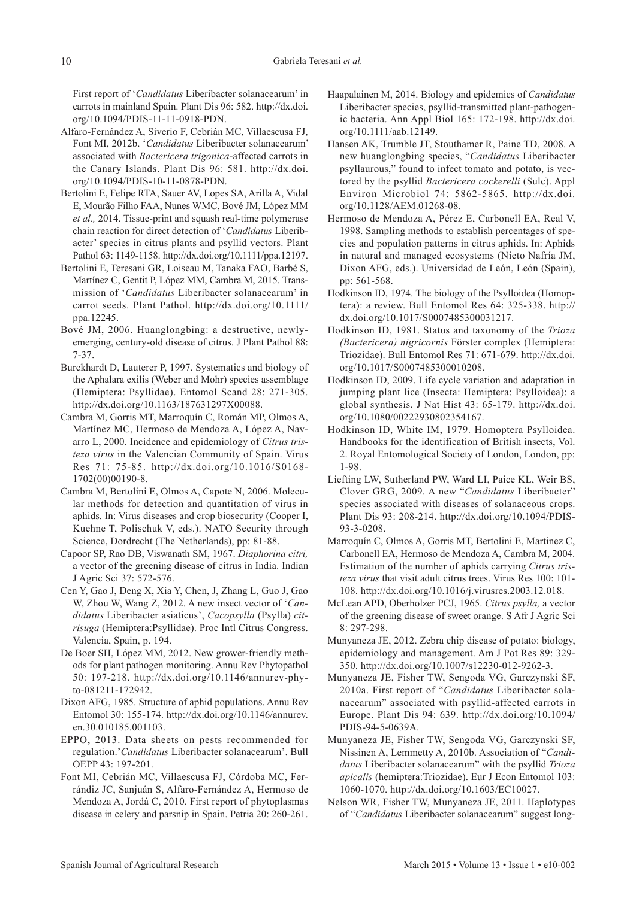First report of '*Candidatus* Liberibacter solanacearum' in carrots in mainland Spain. Plant Dis 96: 582. [http://dx.doi.](http://dx.doi.org/10.1094/PDIS-11-11-0918-PDN) [org/10.1094/PDIS-11-11-0918-PDN.](http://dx.doi.org/10.1094/PDIS-11-11-0918-PDN)

- Alfaro-Fernández A, Siverio F, Cebrián MC, Villaescusa FJ, Font MI, 2012b. '*Candidatus* Liberibacter solanacearum' associated with *Bactericera trigonica*-affected carrots in the Canary Islands. Plant Dis 96: 581. [http://dx.doi.](http://dx.doi.org/10.1094/PDIS-10-11-0878-PDN) [org/10.1094/PDIS-10-11-0878-PDN](http://dx.doi.org/10.1094/PDIS-10-11-0878-PDN).
- Bertolini E, Felipe RTA, Sauer AV, Lopes SA, Arilla A, Vidal E, Mourão Filho FAA, Nunes WMC, Bové JM, López MM *et al.,* 2014. Tissue-print and squash real-time polymerase chain reaction for direct detection of '*Candidatus* Liberibacter' species in citrus plants and psyllid vectors. Plant Pathol 63: 1149-1158. <http://dx.doi.org/10.1111/ppa.12197>.
- Bertolini E, Teresani GR, Loiseau M, Tanaka FAO, Barbé S, Martínez C, Gentit P, López MM, Cambra M, 2015. Transmission of '*Candidatus* Liberibacter solanacearum' in carrot seeds. Plant Pathol. [http://dx.doi.org/10.1111/](http://dx.doi.org/10.1111/ppa.12245) [ppa.12245.](http://dx.doi.org/10.1111/ppa.12245)
- Bové JM, 2006. Huanglongbing: a destructive, newlyemerging, century-old disease of citrus. J Plant Pathol 88: 7-37.
- Burckhardt D, Lauterer P, 1997. Systematics and biology of the Aphalara exilis (Weber and Mohr) species assemblage (Hemiptera: Psyllidae). Entomol Scand 28: 271-305. [http://dx.doi.org/10.1163/187631297X00088.](http://dx.doi.org/10.1163/187631297X00088)
- Cambra M, Gorris MT, Marroquín C, Román MP, Olmos A, Martínez MC, Hermoso de Mendoza A, López A, Navarro L, 2000. Incidence and epidemiology of *Citrus tristeza virus* in the Valencian Community of Spain. Virus Res 71: 75-85. [http://dx.doi.org/10.1016/S0168-](http://dx.doi.org/10.1016/S0168-1702%2800%2900190-8) [1702\(00\)00190-8](http://dx.doi.org/10.1016/S0168-1702%2800%2900190-8).
- Cambra M, Bertolini E, Olmos A, Capote N, 2006. Molecular methods for detection and quantitation of virus in aphids. In: Virus diseases and crop biosecurity (Cooper I, Kuehne T, Polischuk V, eds.). NATO Security through Science, Dordrecht (The Netherlands), pp: 81-88.
- Capoor SP, Rao DB, Viswanath SM, 1967. *Diaphorina citri,*  a vector of the greening disease of citrus in India. Indian J Agric Sci 37: 572-576.
- Cen Y, Gao J, Deng X, Xia Y, Chen, J, Zhang L, Guo J, Gao W, Zhou W, Wang Z, 2012. A new insect vector of '*Candidatus* Liberibacter asiaticus', *Cacopsylla* (Psylla) *citrisuga* (Hemiptera:Psyllidae). Proc Intl Citrus Congress. Valencia, Spain, p. 194.
- De Boer SH, López MM, 2012. New grower-friendly methods for plant pathogen monitoring. Annu Rev Phytopathol 50: 197-218. [http://dx.doi.org/10.1146/annurev-phy](http://dx.doi.org/10.1146/annurev-phyto-081211-172942)[to-081211-172942](http://dx.doi.org/10.1146/annurev-phyto-081211-172942).
- Dixon AFG, 1985. Structure of aphid populations. Annu Rev Entomol 30: 155-174. [http://dx.doi.org/10.1146/annurev.](http://dx.doi.org/10.1146/annurev.en.30.010185.001103) [en.30.010185.001103.](http://dx.doi.org/10.1146/annurev.en.30.010185.001103)
- EPPO, 2013. Data sheets on pests recommended for regulation.'*Candidatus* Liberibacter solanacearum'. Bull OEPP 43: 197-201.
- Font MI, Cebrián MC, Villaescusa FJ, Córdoba MC, Ferrándiz JC, Sanjuán S, Alfaro-Fernández A, Hermoso de Mendoza A, Jordá C, 2010. First report of phytoplasmas disease in celery and parsnip in Spain. Petria 20: 260-261.
- Haapalainen M, 2014. Biology and epidemics of *Candidatus* Liberibacter species, psyllid-transmitted plant-pathogenic bacteria. Ann Appl Biol 165: 172-198. [http://dx.doi.](http://dx.doi.org/10.1111/aab.12149) [org/10.1111/aab.12149.](http://dx.doi.org/10.1111/aab.12149)
- Hansen AK, Trumble JT, Stouthamer R, Paine TD, 2008. A new huanglongbing species, "*Candidatus* Liberibacter psyllaurous," found to infect tomato and potato, is vectored by the psyllid *Bactericera cockerelli* (Sulc). Appl Environ Microbiol 74: 5862-5865. [http://dx.doi.](http://dx.doi.org/10.1128/AEM.01268-08) [org/10.1128/AEM.01268-08](http://dx.doi.org/10.1128/AEM.01268-08).
- Hermoso de Mendoza A, Pérez E, Carbonell EA, Real V, 1998. Sampling methods to establish percentages of species and population patterns in citrus aphids. In: Aphids in natural and managed ecosystems (Nieto Nafría JM, Dixon AFG, eds.). Universidad de León, León (Spain), pp: 561-568.
- Hodkinson ID, 1974. The biology of the Psylloidea (Homoptera): a review. Bull Entomol Res 64: 325-338. [http://](http://dx.doi.org/10.1017/S0007485300031217) [dx.doi.org/10.1017/S0007485300031217.](http://dx.doi.org/10.1017/S0007485300031217)
- Hodkinson ID, 1981. Status and taxonomy of the *Trioza (Bactericera) nigricornis* Förster complex (Hemiptera: Triozidae). Bull Entomol Res 71: 671-679. [http://dx.doi.](http://dx.doi.org/10.1017/S0007485300010208) [org/10.1017/S0007485300010208.](http://dx.doi.org/10.1017/S0007485300010208)
- Hodkinson ID, 2009. Life cycle variation and adaptation in jumping plant lice (Insecta: Hemiptera: Psylloidea): a global synthesis. J Nat Hist 43: 65-179. [http://dx.doi.](http://dx.doi.org/10.1080/00222930802354167) [org/10.1080/00222930802354167](http://dx.doi.org/10.1080/00222930802354167).
- Hodkinson ID, White IM, 1979. Homoptera Psylloidea. Handbooks for the identification of British insects, Vol. 2. Royal Entomological Society of London, London, pp: 1-98.
- Liefting LW, Sutherland PW, Ward LI, Paice KL, Weir BS, Clover GRG, 2009. A new "*Candidatus* Liberibacter" species associated with diseases of solanaceous crops. Plant Dis 93: 208-214. [http://dx.doi.org/10.1094/PDIS-](http://dx.doi.org/10.1094/PDIS-93-3-0208)[93-3-0208.](http://dx.doi.org/10.1094/PDIS-93-3-0208)
- Marroquín C, Olmos A, Gorris MT, Bertolini E, Martinez C, Carbonell EA, Hermoso de Mendoza A, Cambra M, 2004. Estimation of the number of aphids carrying *Citrus tristeza virus* that visit adult citrus trees. Virus Res 100: 101- 108. <http://dx.doi.org/10.1016/j.virusres.2003.12.018>.
- McLean APD, Oberholzer PCJ, 1965. *Citrus psylla,* a vector of the greening disease of sweet orange. S Afr J Agric Sci 8: 297-298.
- Munyaneza JE, 2012. Zebra chip disease of potato: biology, epidemiology and management. Am J Pot Res 89: 329- 350. [http://dx.doi.org/10.1007/s12230-012-9262-3.](http://dx.doi.org/10.1007/s12230-012-9262-3)
- Munyaneza JE, Fisher TW, Sengoda VG, Garczynski SF, 2010a. First report of "*Candidatus* Liberibacter solanacearum" associated with psyllid-affected carrots in Europe. Plant Dis 94: 639. [http://dx.doi.org/10.1094/](http://dx.doi.org/10.1094/PDIS-94-5-0639A) [PDIS-94-5-0639A](http://dx.doi.org/10.1094/PDIS-94-5-0639A).
- Munyaneza JE, Fisher TW, Sengoda VG, Garczynski SF, Nissinen A, Lemmetty A, 2010b. Association of "*Candidatus* Liberibacter solanacearum" with the psyllid *Trioza apicalis* (hemiptera:Triozidae). Eur J Econ Entomol 103: 1060-1070. [http://dx.doi.org/10.1603/EC10027.](http://dx.doi.org/10.1603/EC10027)
- Nelson WR, Fisher TW, Munyaneza JE, 2011. Haplotypes of "*Candidatus* Liberibacter solanacearum" suggest long-